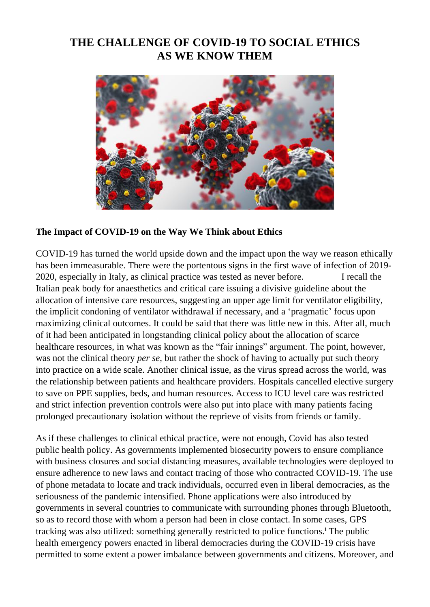# **THE CHALLENGE OF COVID-19 TO SOCIAL ETHICS AS WE KNOW THEM**



#### **The Impact of COVID-19 on the Way We Think about Ethics**

COVID-19 has turned the world upside down and the impact upon the way we reason ethically has been immeasurable. There were the portentous signs in the first wave of infection of 2019- 2020, especially in Italy, as clinical practice was tested as never before. I recall the Italian peak body for anaesthetics and critical care issuing a divisive guideline about the allocation of intensive care resources, suggesting an upper age limit for ventilator eligibility, the implicit condoning of ventilator withdrawal if necessary, and a 'pragmatic' focus upon maximizing clinical outcomes. It could be said that there was little new in this. After all, much of it had been anticipated in longstanding clinical policy about the allocation of scarce healthcare resources, in what was known as the "fair innings" argument. The point, however, was not the clinical theory *per se*, but rather the shock of having to actually put such theory into practice on a wide scale. Another clinical issue, as the virus spread across the world, was the relationship between patients and healthcare providers. Hospitals cancelled elective surgery to save on PPE supplies, beds, and human resources. Access to ICU level care was restricted and strict infection prevention controls were also put into place with many patients facing prolonged precautionary isolation without the reprieve of visits from friends or family.

As if these challenges to clinical ethical practice, were not enough, Covid has also tested public health policy. As governments implemented biosecurity powers to ensure compliance with business closures and social distancing measures, available technologies were deployed to ensure adherence to new laws and contact tracing of those who contracted COVID-19. The use of phone metadata to locate and track individuals, occurred even in liberal democracies, as the seriousness of the pandemic intensified. Phone applications were also introduced by governments in several countries to communicate with surrounding phones through Bluetooth, so as to record those with whom a person had been in close contact. In some cases, GPS tracking was also utilized: something generally restricted to police functions.<sup>i</sup> The public health emergency powers enacted in liberal democracies during the COVID-19 crisis have permitted to some extent a power imbalance between governments and citizens. Moreover, and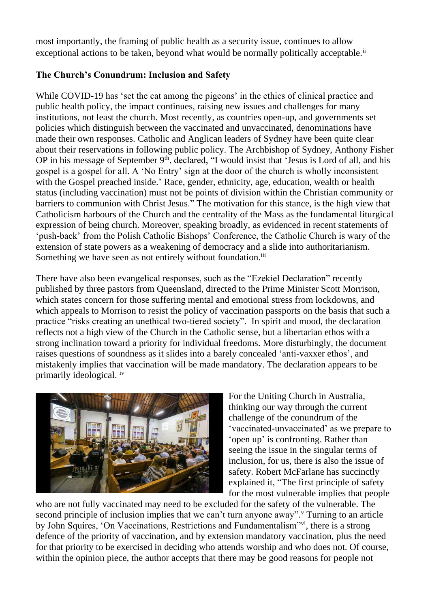most importantly, the framing of public health as a security issue, continues to allow exceptional actions to be taken, beyond what would be normally politically acceptable.<sup>ii</sup>

## **The Church's Conundrum: Inclusion and Safety**

While COVID-19 has 'set the cat among the pigeons' in the ethics of clinical practice and public health policy, the impact continues, raising new issues and challenges for many institutions, not least the church. Most recently, as countries open-up, and governments set policies which distinguish between the vaccinated and unvaccinated, denominations have made their own responses. Catholic and Anglican leaders of Sydney have been quite clear about their reservations in following public policy. The Archbishop of Sydney, Anthony Fisher OP in his message of September 9<sup>th</sup>, declared, "I would insist that 'Jesus is Lord of all, and his gospel is a gospel for all. A 'No Entry' sign at the door of the church is wholly inconsistent with the Gospel preached inside.' Race, gender, ethnicity, age, education, wealth or health status (including vaccination) must not be points of division within the Christian community or barriers to communion with Christ Jesus." The motivation for this stance, is the high view that Catholicism harbours of the Church and the centrality of the Mass as the fundamental liturgical expression of being church. Moreover, speaking broadly, as evidenced in recent statements of 'push-back' from the Polish Catholic Bishops' Conference, the Catholic Church is wary of the extension of state powers as a weakening of democracy and a slide into authoritarianism. Something we have seen as not entirely without foundation.<sup>iii</sup>

There have also been evangelical responses, such as the "Ezekiel Declaration" recently published by three pastors from Queensland, directed to the Prime Minister Scott Morrison, which states concern for those suffering mental and emotional stress from lockdowns, and which appeals to Morrison to resist the policy of vaccination passports on the basis that such a practice "risks creating an unethical two-tiered society". In spirit and mood, the declaration reflects not a high view of the Church in the Catholic sense, but a libertarian ethos with a strong inclination toward a priority for individual freedoms. More disturbingly, the document raises questions of soundness as it slides into a barely concealed 'anti-vaxxer ethos', and mistakenly implies that vaccination will be made mandatory. The declaration appears to be primarily ideological. iv



For the Uniting Church in Australia, thinking our way through the current challenge of the conundrum of the 'vaccinated-unvaccinated' as we prepare to 'open up' is confronting. Rather than seeing the issue in the singular terms of inclusion, for us, there is also the issue of safety. Robert McFarlane has succinctly explained it, "The first principle of safety for the most vulnerable implies that people

who are not fully vaccinated may need to be excluded for the safety of the vulnerable. The second principle of inclusion implies that we can't turn anyone away". Turning to an article by John Squires, 'On Vaccinations, Restrictions and Fundamentalism'<sup>vi</sup>, there is a strong defence of the priority of vaccination, and by extension mandatory vaccination, plus the need for that priority to be exercised in deciding who attends worship and who does not. Of course, within the opinion piece, the author accepts that there may be good reasons for people not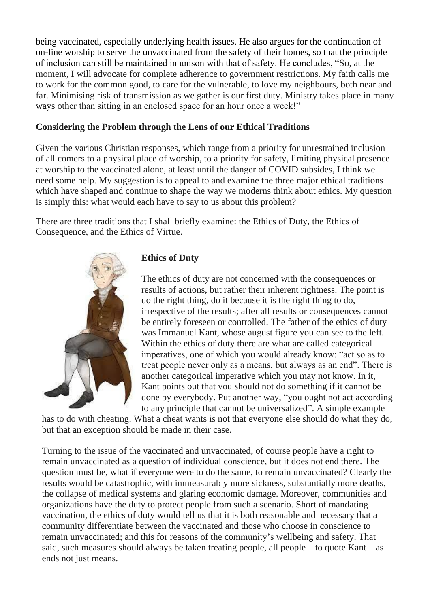being vaccinated, especially underlying health issues. He also argues for the continuation of on-line worship to serve the unvaccinated from the safety of their homes, so that the principle of inclusion can still be maintained in unison with that of safety. He concludes, "So, at the moment, I will advocate for complete adherence to government restrictions. My faith calls me to work for the common good, to care for the vulnerable, to love my neighbours, both near and far. Minimising risk of transmission as we gather is our first duty. Ministry takes place in many ways other than sitting in an enclosed space for an hour once a week!"

#### **Considering the Problem through the Lens of our Ethical Traditions**

Given the various Christian responses, which range from a priority for unrestrained inclusion of all comers to a physical place of worship, to a priority for safety, limiting physical presence at worship to the vaccinated alone, at least until the danger of COVID subsides, I think we need some help. My suggestion is to appeal to and examine the three major ethical traditions which have shaped and continue to shape the way we moderns think about ethics. My question is simply this: what would each have to say to us about this problem?

There are three traditions that I shall briefly examine: the Ethics of Duty, the Ethics of Consequence, and the Ethics of Virtue.



#### **Ethics of Duty**

The ethics of duty are not concerned with the consequences or results of actions, but rather their inherent rightness. The point is do the right thing, do it because it is the right thing to do, irrespective of the results; after all results or consequences cannot be entirely foreseen or controlled. The father of the ethics of duty was Immanuel Kant, whose august figure you can see to the left. Within the ethics of duty there are what are called categorical imperatives, one of which you would already know: "act so as to treat people never only as a means, but always as an end". There is another categorical imperative which you may not know. In it, Kant points out that you should not do something if it cannot be done by everybody. Put another way, "you ought not act according to any principle that cannot be universalized". A simple example

has to do with cheating. What a cheat wants is not that everyone else should do what they do, but that an exception should be made in their case.

Turning to the issue of the vaccinated and unvaccinated, of course people have a right to remain unvaccinated as a question of individual conscience, but it does not end there. The question must be, what if everyone were to do the same, to remain unvaccinated? Clearly the results would be catastrophic, with immeasurably more sickness, substantially more deaths, the collapse of medical systems and glaring economic damage. Moreover, communities and organizations have the duty to protect people from such a scenario. Short of mandating vaccination, the ethics of duty would tell us that it is both reasonable and necessary that a community differentiate between the vaccinated and those who choose in conscience to remain unvaccinated; and this for reasons of the community's wellbeing and safety. That said, such measures should always be taken treating people, all people – to quote Kant – as ends not just means.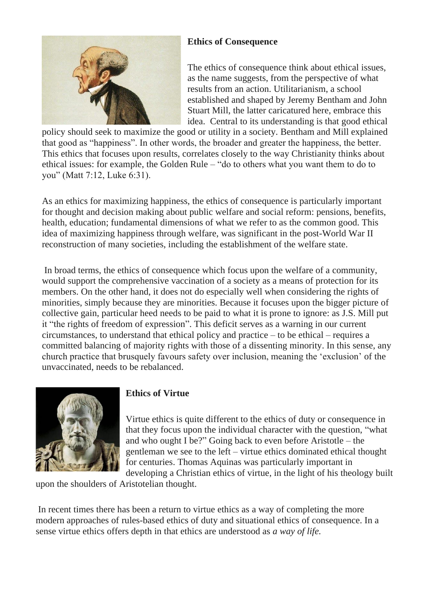

# **Ethics of Consequence**

The ethics of consequence think about ethical issues, as the name suggests, from the perspective of what results from an action. Utilitarianism, a school established and shaped by Jeremy Bentham and John Stuart Mill, the latter caricatured here, embrace this idea. Central to its understanding is that good ethical

policy should seek to maximize the good or utility in a society. Bentham and Mill explained that good as "happiness". In other words, the broader and greater the happiness, the better. This ethics that focuses upon results, correlates closely to the way Christianity thinks about ethical issues: for example, the Golden Rule – "do to others what you want them to do to you" (Matt 7:12, Luke 6:31).

As an ethics for maximizing happiness, the ethics of consequence is particularly important for thought and decision making about public welfare and social reform: pensions, benefits, health, education; fundamental dimensions of what we refer to as the common good. This idea of maximizing happiness through welfare, was significant in the post-World War II reconstruction of many societies, including the establishment of the welfare state.

In broad terms, the ethics of consequence which focus upon the welfare of a community, would support the comprehensive vaccination of a society as a means of protection for its members. On the other hand, it does not do especially well when considering the rights of minorities, simply because they are minorities. Because it focuses upon the bigger picture of collective gain, particular heed needs to be paid to what it is prone to ignore: as J.S. Mill put it "the rights of freedom of expression". This deficit serves as a warning in our current circumstances, to understand that ethical policy and practice – to be ethical – requires a committed balancing of majority rights with those of a dissenting minority. In this sense, any church practice that brusquely favours safety over inclusion, meaning the 'exclusion' of the unvaccinated, needs to be rebalanced.



## **Ethics of Virtue**

Virtue ethics is quite different to the ethics of duty or consequence in that they focus upon the individual character with the question, "what and who ought I be?" Going back to even before Aristotle – the gentleman we see to the left – virtue ethics dominated ethical thought for centuries. Thomas Aquinas was particularly important in developing a Christian ethics of virtue, in the light of his theology built

upon the shoulders of Aristotelian thought.

In recent times there has been a return to virtue ethics as a way of completing the more modern approaches of rules-based ethics of duty and situational ethics of consequence. In a sense virtue ethics offers depth in that ethics are understood as *a way of life.*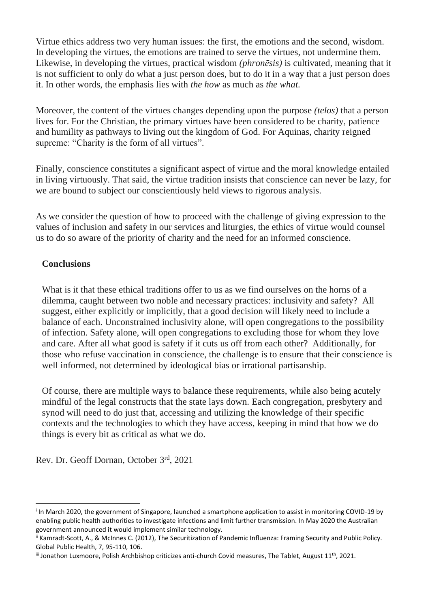Virtue ethics address two very human issues: the first, the emotions and the second, wisdom. In developing the virtues, the emotions are trained to serve the virtues, not undermine them. Likewise, in developing the virtues, practical wisdom *(phronēsis)* is cultivated, meaning that it is not sufficient to only do what a just person does, but to do it in a way that a just person does it. In other words, the emphasis lies with *the how* as much as *the what.*

Moreover, the content of the virtues changes depending upon the purpose *(telos)* that a person lives for. For the Christian, the primary virtues have been considered to be charity, patience and humility as pathways to living out the kingdom of God. For Aquinas, charity reigned supreme: "Charity is the form of all virtues".

Finally, conscience constitutes a significant aspect of virtue and the moral knowledge entailed in living virtuously. That said, the virtue tradition insists that conscience can never be lazy, for we are bound to subject our conscientiously held views to rigorous analysis.

As we consider the question of how to proceed with the challenge of giving expression to the values of inclusion and safety in our services and liturgies, the ethics of virtue would counsel us to do so aware of the priority of charity and the need for an informed conscience.

#### **Conclusions**

What is it that these ethical traditions offer to us as we find ourselves on the horns of a dilemma, caught between two noble and necessary practices: inclusivity and safety? All suggest, either explicitly or implicitly, that a good decision will likely need to include a balance of each. Unconstrained inclusivity alone, will open congregations to the possibility of infection. Safety alone, will open congregations to excluding those for whom they love and care. After all what good is safety if it cuts us off from each other? Additionally, for those who refuse vaccination in conscience, the challenge is to ensure that their conscience is well informed, not determined by ideological bias or irrational partisanship.

Of course, there are multiple ways to balance these requirements, while also being acutely mindful of the legal constructs that the state lays down. Each congregation, presbytery and synod will need to do just that, accessing and utilizing the knowledge of their specific contexts and the technologies to which they have access, keeping in mind that how we do things is every bit as critical as what we do.

Rev. Dr. Geoff Dornan, October 3rd, 2021

i In March 2020, the government of Singapore, launched a smartphone application to assist in monitoring COVID-19 by enabling public health authorities to investigate infections and limit further transmission. In May 2020 the Australian government announced it would implement similar technology.

ii Kamradt-Scott, A., & McInnes C. (2012), The Securitization of Pandemic Influenza: Framing Security and Public Policy. Global Public Health, 7, 95-110, 106.

 $\text{ii}$  Jonathon Luxmoore, Polish Archbishop criticizes anti-church Covid measures, The Tablet, August 11<sup>th</sup>, 2021.